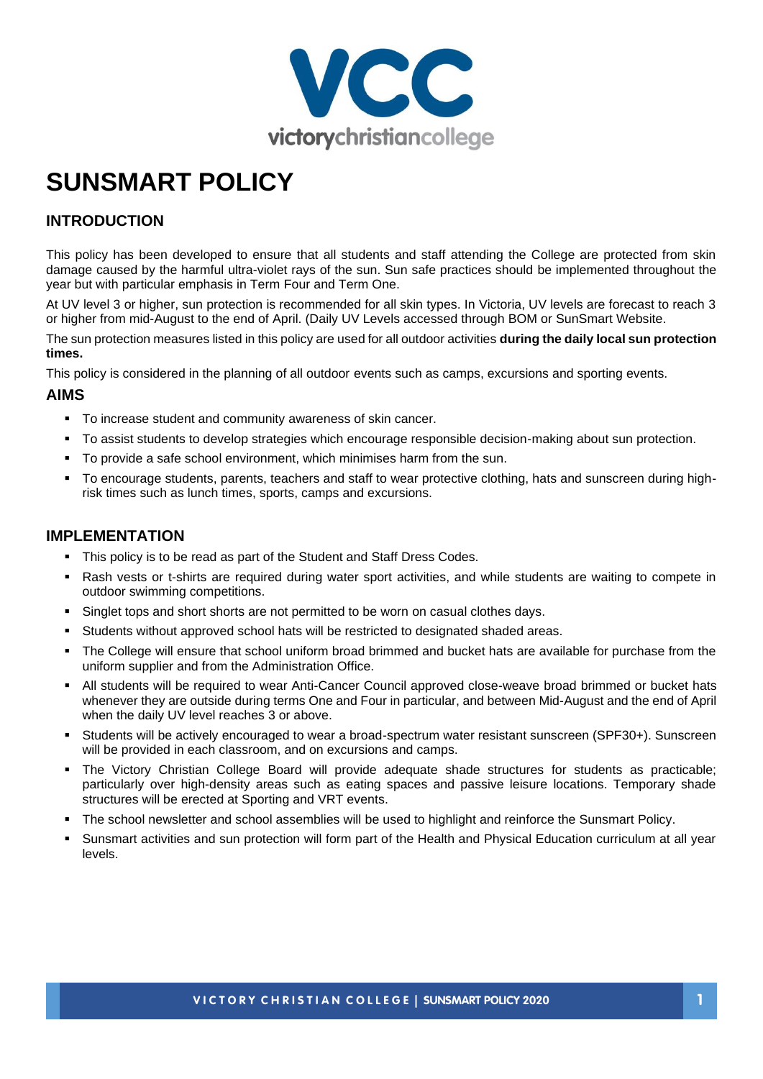

# **SUNSMART POLICY**

# **INTRODUCTION**

This policy has been developed to ensure that all students and staff attending the College are protected from skin damage caused by the harmful ultra-violet rays of the sun. Sun safe practices should be implemented throughout the year but with particular emphasis in Term Four and Term One.

At UV level 3 or higher, sun protection is recommended for all skin types. In Victoria, UV levels are forecast to reach 3 or higher from mid-August to the end of April. (Daily UV Levels accessed through BOM or SunSmart Website.

The sun protection measures listed in this policy are used for all outdoor activities **during the daily local sun protection times.** 

This policy is considered in the planning of all outdoor events such as camps, excursions and sporting events.

#### **AIMS**

- To increase student and community awareness of skin cancer.
- To assist students to develop strategies which encourage responsible decision-making about sun protection.
- To provide a safe school environment, which minimises harm from the sun.
- To encourage students, parents, teachers and staff to wear protective clothing, hats and sunscreen during highrisk times such as lunch times, sports, camps and excursions.

#### **IMPLEMENTATION**

- This policy is to be read as part of the Student and Staff Dress Codes.
- Rash vests or t-shirts are required during water sport activities, and while students are waiting to compete in outdoor swimming competitions.
- Singlet tops and short shorts are not permitted to be worn on casual clothes days.
- Students without approved school hats will be restricted to designated shaded areas.
- The College will ensure that school uniform broad brimmed and bucket hats are available for purchase from the uniform supplier and from the Administration Office.
- All students will be required to wear Anti-Cancer Council approved close-weave broad brimmed or bucket hats whenever they are outside during terms One and Four in particular, and between Mid-August and the end of April when the daily UV level reaches 3 or above.
- Students will be actively encouraged to wear a broad-spectrum water resistant sunscreen (SPF30+). Sunscreen will be provided in each classroom, and on excursions and camps.
- The Victory Christian College Board will provide adequate shade structures for students as practicable; particularly over high-density areas such as eating spaces and passive leisure locations. Temporary shade structures will be erected at Sporting and VRT events.
- The school newsletter and school assemblies will be used to highlight and reinforce the Sunsmart Policy.
- Sunsmart activities and sun protection will form part of the Health and Physical Education curriculum at all year levels.